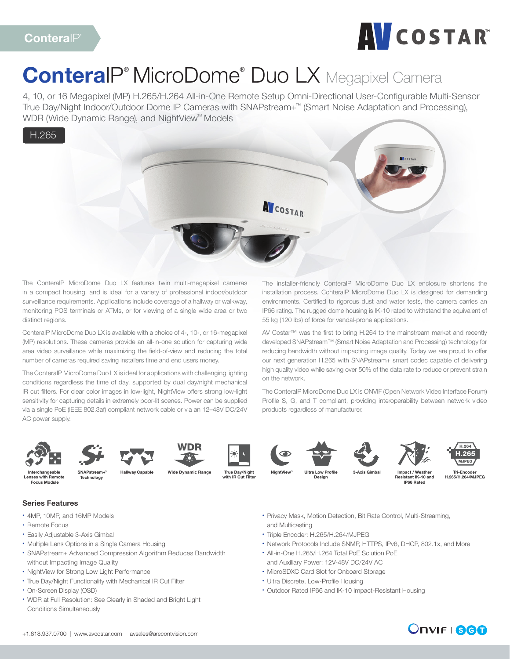

# ConteralP<sup>®</sup> MicroDome<sup>®</sup> Duo LX Megapixel Camera

4, 10, or 16 Megapixel (MP) H.265/H.264 All-in-One Remote Setup Omni-Directional User-Configurable Multi-Sensor True Day/Night Indoor/Outdoor Dome IP Cameras with SNAPstream+™ (Smart Noise Adaptation and Processing), WDR (Wide Dynamic Range), and NightView™ Models



The ConteraIP MicroDome Duo LX features twin multi-megapixel cameras in a compact housing, and is ideal for a variety of professional indoor/outdoor surveillance requirements. Applications include coverage of a hallway or walkway, monitoring POS terminals or ATMs, or for viewing of a single wide area or two distinct regions.

ConteraIP MicroDome Duo LX is available with a choice of 4-, 10-, or 16-megapixel (MP) resolutions. These cameras provide an all-in-one solution for capturing wide area video surveillance while maximizing the field-of-view and reducing the total number of cameras required saving installers time and end users money.

The ConteraIP MicroDome Duo LX is ideal for applications with challenging lighting conditions regardless the time of day, supported by dual day/night mechanical IR cut filters. For clear color images in low-light, NightView offers strong low-light sensitivity for capturing details in extremely poor-lit scenes. Power can be supplied via a single PoE (IEEE 802.3af) compliant network cable or via an 12–48V DC/24V AC power supply.

The installer-friendly ConteraIP MicroDome Duo LX enclosure shortens the installation process. ConteraIP MicroDome Duo LX is designed for demanding environments. Certified to rigorous dust and water tests, the camera carries an IP66 rating. The rugged dome housing is IK-10 rated to withstand the equivalent of 55 kg (120 lbs) of force for vandal-prone applications.

AV Costar™ was the first to bring H.264 to the mainstream market and recently developed SNAPstream™ (Smart Noise Adaptation and Processing) technology for reducing bandwidth without impacting image quality. Today we are proud to offer our next generation H.265 with SNAPstream+ smart codec capable of delivering high quality video while saving over 50% of the data rate to reduce or prevent strain on the network.

The ConteraIP MicroDome Duo LX is ONVIF (Open Network Video Interface Forum) Profile S, G, and T compliant, providing interoperability between network video products regardless of manufacturer.









True Day/Night with IR Cut Filter









enses with Remote Focus Module



Ultra Low Profi Design

Impact / Weather Resistant IK-10 and IP66 Rated



### Series Features

- 4MP, 10MP, and 16MP Models
- Remote Focus
- Easily Adjustable 3-Axis Gimbal
- Multiple Lens Options in a Single Camera Housing

**Technology** 

- SNAPstream+ Advanced Compression Algorithm Reduces Bandwidth without Impacting Image Quality
- NightView for Strong Low Light Performance
- True Day/Night Functionality with Mechanical IR Cut Filter
- On-Screen Display (OSD)
- WDR at Full Resolution: See Clearly in Shaded and Bright Light Conditions Simultaneously
- Privacy Mask, Motion Detection, Bit Rate Control, Multi-Streaming, and Multicasting
- Triple Encoder: H.265/H.264/MJPEG
- Network Protocols Include SNMP, HTTPS, IPv6, DHCP, 802.1x, and More
- All-in-One H.265/H.264 Total PoE Solution PoE and Auxiliary Power: 12V-48V DC/24V AC
- MicroSDXC Card Slot for Onboard Storage
- Ultra Discrete, Low-Profile Housing
- Outdoor Rated IP66 and IK-10 Impact-Resistant Housing

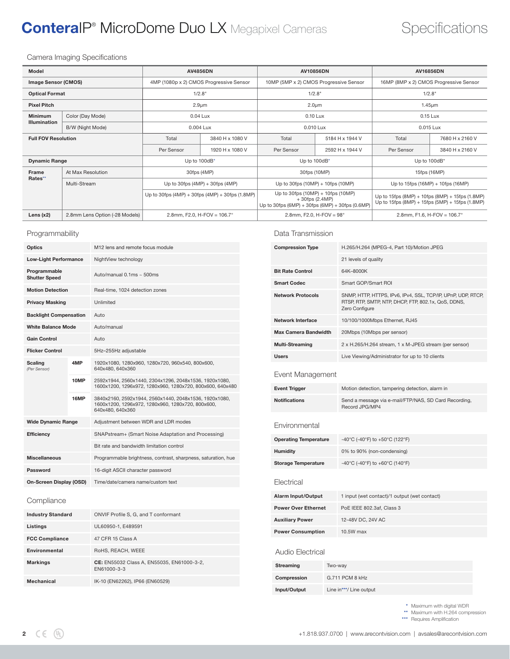## ConteralP<sup>®</sup> MicroDome Duo LX Megapixel Cameras Specifications

Camera Imaging Specifications

| Model                              |                                | <b>AV4856DN</b>                                         |                 | AV10856DN                                                                                                      |                 | <b>AV16856DN</b>                                                                                   |                 |
|------------------------------------|--------------------------------|---------------------------------------------------------|-----------------|----------------------------------------------------------------------------------------------------------------|-----------------|----------------------------------------------------------------------------------------------------|-----------------|
| <b>Image Sensor (CMOS)</b>         |                                | 4MP (1080p x 2) CMOS Progressive Sensor                 |                 | 10MP (5MP x 2) CMOS Progressive Sensor                                                                         |                 | 16MP (8MP x 2) CMOS Progressive Sensor                                                             |                 |
| <b>Optical Format</b>              |                                | 1/2.8"                                                  |                 | 1/2.8"                                                                                                         |                 | 1/2.8"                                                                                             |                 |
| <b>Pixel Pitch</b>                 |                                | $2.9 \mu m$                                             |                 | $2.0 \mu m$                                                                                                    |                 | $1.45 \mu m$                                                                                       |                 |
| <b>Minimum</b><br>Color (Day Mode) |                                | 0.04 Lux                                                |                 | 0.10 Lux                                                                                                       |                 | 0.15 Lux                                                                                           |                 |
| <b>Illumination</b>                | B/W (Night Mode)               | 0.004 Lux                                               |                 | 0.010 Lux                                                                                                      |                 | 0.015 Lux                                                                                          |                 |
| <b>Full FOV Resolution</b>         |                                | Total                                                   | 3840 H x 1080 V | Total                                                                                                          | 5184 H x 1944 V | Total                                                                                              | 7680 H x 2160 V |
|                                    |                                | Per Sensor                                              | 1920 H x 1080 V | Per Sensor                                                                                                     | 2592 H x 1944 V | Per Sensor                                                                                         | 3840 H x 2160 V |
| <b>Dynamic Range</b>               |                                | Up to 100dB*                                            |                 | Up to 100dB*                                                                                                   |                 | Up to 100dB*                                                                                       |                 |
| Frame<br>At Max Resolution         |                                | 30fps (4MP)                                             |                 | 30fps (10MP)                                                                                                   |                 | 15fps (16MP)                                                                                       |                 |
| Rates**                            | Multi-Stream                   | Up to 30fps $(4MP) + 30$ fps $(4MP)$                    |                 | Up to 30fps $(10MP) + 10$ fps $(10MP)$                                                                         |                 | Up to $15$ fps $(16MP) + 10$ fps $(16MP)$                                                          |                 |
|                                    |                                | Up to 30fps $(4MP) + 30$ fps $(4MP) + 30$ fps $(1.8MP)$ |                 | Up to 30fps $(10MP) + 10$ fps $(10MP)$<br>$+30$ fps (2.4MP)<br>Up to 30fps (6MP) + 30fps (6MP) + 30fps (0.6MP) |                 | Up to 15fps (8MP) + 10fps (8MP) + 15fps (1.8MP)<br>Up to 15fps (8MP) + 15fps (5MP) + 15fps (1.8MP) |                 |
| Lens $(x2)$                        | 2.8mm Lens Option (-28 Models) | 2.8mm, F2.0, H-FOV = $106.7^{\circ}$                    |                 | 2.8mm, F2.0, H-FOV = $98^{\circ}$                                                                              |                 | 2.8mm, F1.6, H-FOV = $106.7^{\circ}$                                                               |                 |
|                                    |                                |                                                         |                 |                                                                                                                |                 |                                                                                                    |                 |

### Programmability

| Optics                               |      | M12 lens and remote focus module                                                                                                |  |
|--------------------------------------|------|---------------------------------------------------------------------------------------------------------------------------------|--|
| <b>Low-Light Performance</b>         |      | NightView technology                                                                                                            |  |
| Programmable<br><b>Shutter Speed</b> |      | Auto/manual $0.1$ ms ~ 500ms                                                                                                    |  |
| <b>Motion Detection</b>              |      | Real-time, 1024 detection zones                                                                                                 |  |
| <b>Privacy Masking</b>               |      | <b>Unlimited</b>                                                                                                                |  |
| <b>Backlight Compensation</b>        |      | Auto                                                                                                                            |  |
| <b>White Balance Mode</b>            |      | Auto/manual                                                                                                                     |  |
| <b>Gain Control</b>                  |      | Auto                                                                                                                            |  |
| <b>Flicker Control</b>               |      | 5Hz-255Hz adjustable                                                                                                            |  |
| <b>Scaling</b><br>(Per Sensor)       | 4MP  | 1920x1080, 1280x960, 1280x720, 960x540, 800x600,<br>640x480, 640x360                                                            |  |
|                                      | 10MP | 2592x1944, 2560x1440, 2304x1296, 2048x1536, 1920x1080,<br>1600x1200, 1296x972, 1280x960, 1280x720, 800x600, 640x480             |  |
|                                      | 16MP | 3840x2160, 2592x1944, 2560x1440, 2048x1536, 1920x1080,<br>1600x1200, 1296x972, 1280x960, 1280x720, 800x600,<br>640x480, 640x360 |  |
| <b>Wide Dynamic Range</b>            |      | Adjustment between WDR and LDR modes                                                                                            |  |
| <b>Efficiency</b>                    |      | SNAPstream+ (Smart Noise Adaptation and Processing)                                                                             |  |
|                                      |      | Bit rate and bandwidth limitation control                                                                                       |  |
| <b>Miscellaneous</b>                 |      | Programmable brightness, contrast, sharpness, saturation, hue                                                                   |  |
| Password                             |      | 16-digit ASCII character password                                                                                               |  |
| On-Screen Display (OSD)              |      | Time/date/camera name/custom text                                                                                               |  |

### Compliance

| <b>Industry Standard</b> | ONVIF Profile S, G, and T conformant                      |
|--------------------------|-----------------------------------------------------------|
| Listings                 | UL60950-1, E489591                                        |
| <b>FCC Compliance</b>    | 47 CFR 15 Class A                                         |
| Environmental            | RoHS, REACH, WEEE                                         |
| <b>Markings</b>          | CE: EN55032 Class A. EN55035. EN61000-3-2.<br>EN61000-3-3 |
| Mechanical               | IK-10 (EN62262), IP66 (EN60529)                           |

Data Transmission

| <b>Compression Type</b>      |                         | H.265/H.264 (MPEG-4, Part 10)/Motion JPEG                                                                                             |  |  |
|------------------------------|-------------------------|---------------------------------------------------------------------------------------------------------------------------------------|--|--|
|                              |                         | 21 levels of quality                                                                                                                  |  |  |
| <b>Bit Rate Control</b>      |                         | 64K-8000K                                                                                                                             |  |  |
| <b>Smart Codec</b>           |                         | Smart GOP/Smart ROI                                                                                                                   |  |  |
| <b>Network Protocols</b>     |                         | SNMP, HTTP, HTTPS, IPv6, IPv4, SSL, TCP/IP, UPnP, UDP, RTCP,<br>RTSP, RTP, SMTP, NTP, DHCP, FTP, 802.1x, QoS, DDNS,<br>Zero Configure |  |  |
| Network Interface            |                         | 10/100/1000Mbps Ethernet, RJ45                                                                                                        |  |  |
| <b>Max Camera Bandwidth</b>  |                         | 20Mbps (10Mbps per sensor)                                                                                                            |  |  |
| <b>Multi-Streaming</b>       |                         | 2 x H.265/H.264 stream, 1 x M-JPEG stream (per sensor)                                                                                |  |  |
| <b>Users</b>                 |                         | Live Viewing/Administrator for up to 10 clients                                                                                       |  |  |
| Event Management             |                         |                                                                                                                                       |  |  |
| <b>Event Trigger</b>         |                         | Motion detection, tampering detection, alarm in                                                                                       |  |  |
| <b>Notifications</b>         |                         | Send a message via e-mail/FTP/NAS, SD Card Recording,<br>Record JPG/MP4                                                               |  |  |
| Environmental                |                         |                                                                                                                                       |  |  |
| <b>Operating Temperature</b> |                         | -40°C (-40°F) to +50°C (122°F)                                                                                                        |  |  |
| <b>Humidity</b>              |                         | 0% to 90% (non-condensing)                                                                                                            |  |  |
| <b>Storage Temperature</b>   |                         | -40°C (-40°F) to +60°C (140°F)                                                                                                        |  |  |
| Flectrical                   |                         |                                                                                                                                       |  |  |
| <b>Alarm Input/Output</b>    |                         | 1 input (wet contact)/1 output (wet contact)                                                                                          |  |  |
| <b>Power Over Ethernet</b>   |                         | PoE IEEE 802.3af, Class 3                                                                                                             |  |  |
| <b>Auxiliary Power</b>       |                         | 12-48V DC, 24V AC                                                                                                                     |  |  |
| <b>Power Consumption</b>     |                         | 10.5W max                                                                                                                             |  |  |
| Audio Electrical             |                         |                                                                                                                                       |  |  |
| <b>Streaming</b>             | Two-way                 |                                                                                                                                       |  |  |
| Compression                  | G.711 PCM 8 kHz         |                                                                                                                                       |  |  |
| Input/Output                 | Line in***/ Line output |                                                                                                                                       |  |  |

\*\*\* Requires Amplification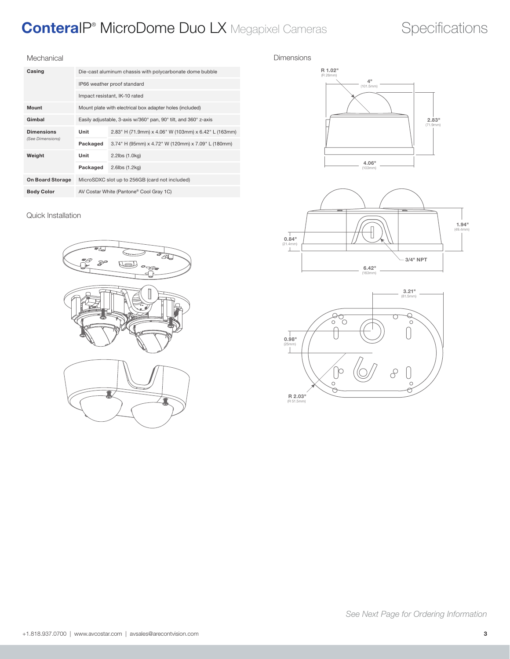## ConteralP<sup>®</sup> MicroDome Duo LX Megapixel Cameras Specifications

### Mechanical

| Casing                  | Die-cast aluminum chassis with polycarbonate dome bubble        |                                                      |  |  |
|-------------------------|-----------------------------------------------------------------|------------------------------------------------------|--|--|
|                         | IP66 weather proof standard                                     |                                                      |  |  |
|                         | Impact resistant, IK-10 rated                                   |                                                      |  |  |
| <b>Mount</b>            | Mount plate with electrical box adapter holes (included)        |                                                      |  |  |
| Gimbal                  | Easily adjustable, 3-axis w/360° pan, 90° tilt, and 360° z-axis |                                                      |  |  |
| <b>Dimensions</b>       | Unit                                                            | 2.83" H (71.9mm) x 4.06" W (103mm) x 6.42" L (163mm) |  |  |
| (See Dimensions)        | Packaged                                                        | 3.74" H (95mm) x 4.72" W (120mm) x 7.09" L (180mm)   |  |  |
| Weight                  | Unit                                                            | 2.2lbs (1.0kg)                                       |  |  |
|                         | Packaged                                                        | 2.6lbs (1.2kg)                                       |  |  |
| <b>On Board Storage</b> | MicroSDXC slot up to 256GB (card not included)                  |                                                      |  |  |
| <b>Body Color</b>       | AV Costar White (Pantone® Cool Gray 1C)                         |                                                      |  |  |

### Quick Installation



### Dimensions